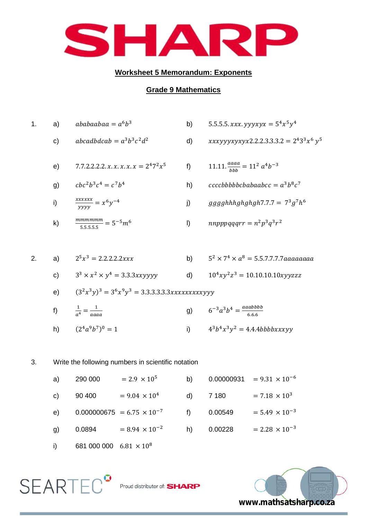

## **Worksheet 5 Memorandum: Exponents**

## **Grade 9 Mathematics**

1. a) b) c) d) e) f) g) h) i) j) k) l) 2. a) b) c) d) e) ( ) f) g) h) ( ) i) 3. Write the following numbers in scientific notation a) 290 000 b) 0.00000931

| C) | 90 400 | $= 9.04 \times 10^{4}$                            | d) 7 180 | $= 7.18 \times 10^{3}$  |
|----|--------|---------------------------------------------------|----------|-------------------------|
|    |        | e) $0.000000675 = 6.75 \times 10^{-7}$ f) 0.00549 |          | $= 5.49 \times 10^{-3}$ |
| g) | 0.0894 | $= 8.94 \times 10^{-2}$ h) 0.00228                |          | $= 2.28 \times 10^{-3}$ |
|    |        |                                                   |          |                         |



 $\mathsf{SEARTEC}^{\bullet}$  Proud distributor of: SHARP

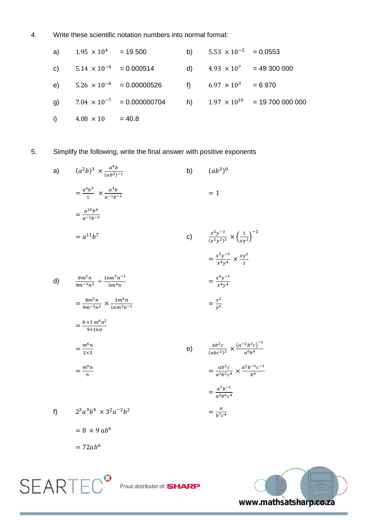4. Write these scientific notation numbers into normal format:

a) 
$$
1.95 \times 10^4 = 19\,500
$$
  
\nb)  $5.53 \times 10^{-2} = 0.0553$   
\nc)  $5.14 \times 10^{-4} = 0.000514$   
\nd)  $4.93 \times 10^7 = 49\,300\,000$   
\ne)  $5.26 \times 10^{-6} = 0.00000526$   
\nf)  $6.97 \times 10^3 = 6\,970$   
\ng)  $7.04 \times 10^{-7} = 0.000000704$   
\nh)  $1.97 \times 10^{10} = 19\,700\,000\,000$   
\ni)  $4.08 \times 10 = 40.8$ 

5. Simplify the following, write the final answer with positive exponents

a) 
$$
(a^2b)^3 \times \frac{a^4b}{(ab^3)^{-1}}
$$
  
\n
$$
= \frac{a^6b^3}{1} \times \frac{a^4b}{a^{-1}b^{-3}}
$$
\n
$$
= a^{11}b^7
$$
\n
$$
= a^{11}b^7
$$
\n
$$
= \frac{a^{10}b^4}{m^{-1}b^{-3}}
$$
\n
$$
= a^{11}b^7
$$
\n
$$
= \frac{b^{11}b^{7}}{2a^{1}b^{-3}} = \frac{x^5y^{-3}}{x^4y^4} \times \frac{xy^2}{1}
$$
\n
$$
= \frac{b^{11}b^{7}}{y^4b^{-1}}
$$
\n
$$
= \frac{b^{11}b^{7}}{y^4b^{-1}}
$$
\n
$$
= \frac{b^{11}b^{7}}{y^4b^{-1}}
$$
\n
$$
= \frac{b^{11}b^{7}}{y^4b^{-1}}
$$
\n
$$
= \frac{b^{11}b^{7}}{y^4b^{-1}}
$$
\n
$$
= \frac{b^{11}b^{7}}{y^4b^{-1}}
$$
\n
$$
= \frac{b^{11}b^{7}}{y^4b^{-1}}
$$
\n
$$
= \frac{b^{11}b^{7}}{y^4b^{-1}}
$$
\n
$$
= \frac{b^{11}b^{7}}{y^4b^{-1}}
$$
\n
$$
= \frac{b^{11}b^{7}}{y^4b^{-1}}
$$
\n
$$
= \frac{b^{11}b^{7}}{y^4b^{-1}}
$$
\n
$$
= \frac{b^{11}b^{7}}{y^4b^{-1}}
$$
\n
$$
= \frac{b^{11}b^{7}}{y^4b^{-1}}
$$
\n
$$
= \frac{b^{11}b^{7}}{y^4b^{-1}}
$$
\n
$$
= \frac{b^{11}b^{7}}{y^4b^{-1}}
$$
\n
$$
= \frac{b^{11}b^{7}}{y^4b^{-1}}
$$
\n
$$
= \frac{b^{11}b^{7}}{y^4b^{-1}}
$$
\n
$$
= \frac{b^{11}b^{7}}{y^4b^{-1}}
$$
\n $$ 



 $= 72ab^6$ 

**SEARTEC<sup>®</sup>**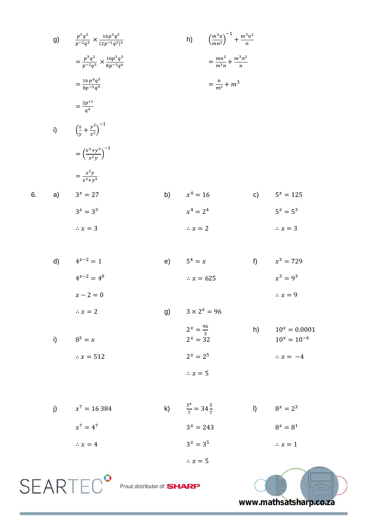g) 
$$
\frac{p^3q^2}{p^2q^3} \times \frac{16p^3q^3}{(2p^4q^3)}
$$
  
\n $= \frac{p^3q^2}{p^2q^3} \times \frac{16p^3q^3}{8p^4q^6}$   
\n $= \frac{46p^6q^5}{8p^5q^9}$   
\n $= \frac{2p^{11}}{q^4}$   
\ni)  $\left(\frac{x}{y} + \frac{y^2}{x^2}\right)^{-1}$   
\n $= \left(\frac{x^3+y^3}{x^2y}\right)^{-1}$   
\n $= \frac{x^2y}{x^3+y^3}$   
\n $3^x = 27$   
\nb)  $x^4 = 16$   
\nc)  $5^x = 125$   
\n $3^x = 3^3$   
\n $\therefore x = 3$   
\nd)  $4^{x-2} = 1$   
\ne)  $5^4 = x$   
\nf)  $x^3 = 729$   
\n $4^{x-2} - 4^0$   
\n $x^3 - 9^3$   
\n $x^4 = 2^4$   
\n $5^x = 5^3$   
\n $x = 3$   
\n $5^4 = x$   
\n $5^4 = x$   
\n $x = 3$   
\n $x^3 - 9^3$   
\n $x^4 = 2^4$   
\n $5^4 = x$   
\n $5^4 = x$   
\n $5^4 = x$   
\n $5^4 = x$   
\n $5^4 = x$   
\n $5^4 = x$   
\n $5^4 = x$   
\n $5^4 = x$   
\n $5^4 = x$   
\n $5^4 = x$   
\n $5^4 = x$   
\n $5^4 = x$   
\n $5^4 = x$   
\n $5^4 = x$   
\n $5^4 = x$   
\n $5^4 = x$   
\n $5^4 = x$   
\n $5^4 = x$ <

$$
4^{x-2} = 4^0
$$
  
\n
$$
x - 2 = 0
$$
  
\n
$$
\therefore x = 625
$$
  
\n
$$
x^3 = 9^3
$$
  
\n
$$
\therefore x = 9
$$
  
\n
$$
3 \times 2^x = 96
$$
  
\n
$$
x^3 = 9^3
$$
  
\n
$$
\therefore x = 9
$$

i) 
$$
8^3 = x
$$
  
\n $2^x = \frac{96}{3}$   
\n $2^x = 32$   
\n $2^x = 32$   
\n $10^x = 0.0001$   
\n $10^x = 10^{-4}$   
\n $10^x = 10^{-4}$   
\n $\therefore x = -4$ 

$$
4^{x-2} = 4^0
$$
  
\n
$$
x - 2 = 0
$$
  
\n
$$
\therefore x = 625
$$
  
\n
$$
x - 2 = 0
$$
  
\n
$$
\therefore x = 625
$$
  
\n
$$
3 \times 2^x = 96
$$

g) 
$$
3 \times 2^{x} = 96
$$
  
\n $2^{x} = \frac{96}{3}$   
\n $2^{x} = 32$   
\nh)  $10^{x} = 0.0$   
\n $10^{x} = 10$ 

 $\therefore$   $x=5$ 

 $\frac{5}{7}$  = 34 $\frac{3}{7}$ 

 $3^x = 243$ 

 $x = 25$ 

 $\therefore$   $x=5$ 

$$
\therefore x = 625
$$
  
0  
  

$$
\therefore x = 625
$$

e) 
$$
5^4 = x
$$
  
\n $\therefore x = 625$  f)  $x^3 = x^3$ 

**www.mathsatsharp.co.za**

 $8^x = 2^3$ 

 $x = \Omega$ 

 $\therefore$   $x = 1$ 

Proud distributor of: **SHARP** 

j) 
$$
x^7 = 16384
$$
 k)  $\frac{3^x}{7}$ 

 $6.$ 

 $x^7 = 4^7$ 

 $\therefore x = 4$ 

**SEARTEC<sup>®</sup>**